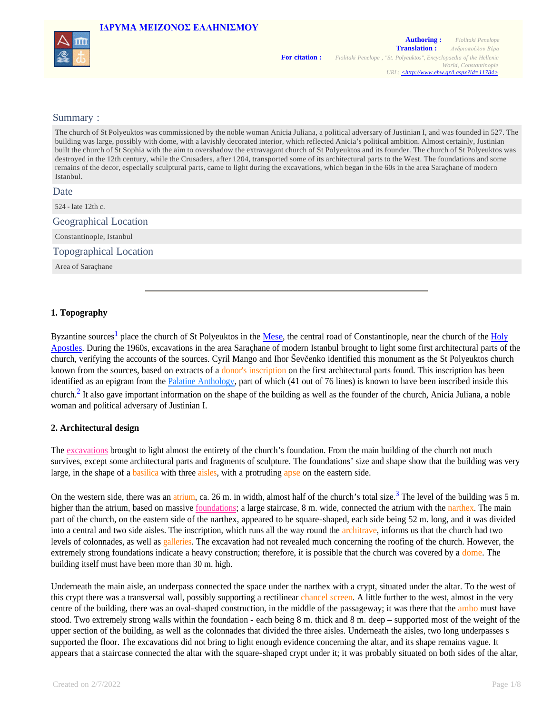|  | ΙΔΡΥΜΑ ΜΕΙΖΟΝΟΣ ΕΛΛΗΝΙΣΜΟΥ |
|--|----------------------------|
|--|----------------------------|



## Summary :

The church of St Polyeuktos was commissioned by the noble woman Anicia Juliana, a political adversary of Justinian I, and was founded in 527. The building was large, possibly with dome, with a lavishly decorated interior, which reflected Anicia's political ambition. Almost certainly, Justinian built the church of St Sophia with the aim to overshadow the extravagant church of St Polyeuktos and its founder. The church of St Polyeuktos was destroyed in the 12th century, while the Crusaders, after 1204, transported some of its architectural parts to the West. The foundations and some remains of the decor, especially sculptural parts, came to light during the excavations, which began in the 60s in the area Saraçhane of modern Istanbul. **Date** 524 - late 12th c. Geographical Location Constantinople, Istanbul Topographical Location Area of Saraçhane

# **1. Topography**

Byzantine sources<sup>1</sup> place the church of St Polyeuktos in the Mese, the central road of Constantinople, near the church of the Holy Apostles. During the 1960s, excavations in the area Saraçhane of modern Istanbul brought to light some first architectural parts of the church, verifying the accounts of the sources. Cyril Mango and Ihor Ševčenko identified this monument as the St Polyeuktos church known from the sources, based on extracts of a donor's inscription on the first architectural parts found. This inscription has been identified as an epigram from the Palatine Anthology, part of which (41 out of 76 lines) is known to have been inscribed inside this church.<sup>2</sup> It also gave important information on the shape of the building as well as the founder of the church, Anicia Juliana, a noble woman and political adversary of Justinian I.

### **2. Architectural design**

The excavations brought to light almost the entirety of the church's foundation. From the main building of the church not much survives, except some architectural parts and fragments of sculpture. The foundations' size and shape show that the building was very large, in the shape of a basilica with three aisles, with a protruding apse on the eastern side.

On the western side, there was an atrium, ca. 26 m. in width, almost half of the church's total size.<sup>3</sup> The level of the building was 5 m. higher than the atrium, based on massive foundations; a large staircase, 8 m. wide, connected the atrium with the narthex. The main part of the church, on the eastern side of the narthex, appeared to be square-shaped, each side being 52 m. long, and it was divided into a central and two side aisles. The inscription, which runs all the way round the architrave, informs us that the church had two levels of colonnades, as well as galleries. The excavation had not revealed much concerning the roofing of the church. However, the extremely strong foundations indicate a heavy construction; therefore, it is possible that the church was covered by a dome. The building itself must have been more than 30 m. high.

Underneath the main aisle, an underpass connected the space under the narthex with a crypt, situated under the altar. To the west of this crypt there was a transversal wall, possibly supporting a rectilinear chancel screen. A little further to the west, almost in the very centre of the building, there was an oval-shaped construction, in the middle of the passageway; it was there that the ambo must have stood. Two extremely strong walls within the foundation - each being 8 m. thick and 8 m. deep – supported most of the weight of the upper section of the building, as well as the colonnades that divided the three aisles. Underneath the aisles, two long underpasses s supported the floor. The excavations did not bring to light enough evidence concerning the altar, and its shape remains vague. It appears that a staircase connected the altar with the square-shaped crypt under it; it was probably situated on both sides of the altar,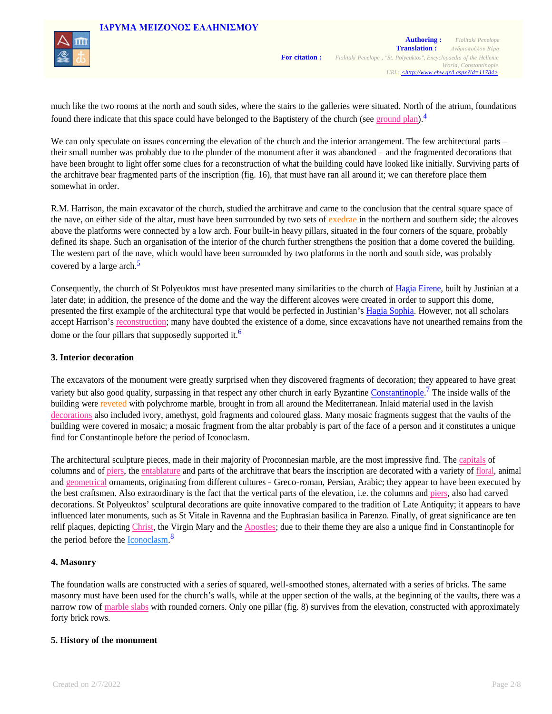

much like the two rooms at the north and south sides, where the stairs to the galleries were situated. North of the atrium, foundations found there indicate that this space could have belonged to the Baptistery of the church (see ground plan).<sup>4</sup>

We can only speculate on issues concerning the elevation of the church and the interior arrangement. The few architectural parts – their small number was probably due to the plunder of the monument after it was abandoned – and the fragmented decorations that have been brought to light offer some clues for a reconstruction of what the building could have looked like initially. Surviving parts of the architrave bear fragmented parts of the inscription (fig. 16), that must have ran all around it; we can therefore place them somewhat in order.

R.M. Harrison, the main excavator of the church, studied the architrave and came to the conclusion that the central square space of the nave, on either side of the altar, must have been surrounded by two sets of exedrae in the northern and southern side; the alcoves above the platforms were connected by a low arch. Four built-in heavy pillars, situated in the four corners of the square, probably defined its shape. Such an organisation of the interior of the church further strengthens the position that a dome covered the building. The western part of the nave, which would have been surrounded by two platforms in the north and south side, was probably covered by a large arch.<sup>5</sup>

Consequently, the church of St Polyeuktos must have presented many similarities to the church of Hagia Eirene, built by Justinian at a later date; in addition, the presence of the dome and the way the different alcoves were created in order to support this dome, presented the first example of the architectural type that would be perfected in Justinian's Hagia Sophia. However, not all scholars accept Harrison's reconstruction; many have doubted the existence of a dome, since excavations have not unearthed remains from the dome or the four pillars that supposedly supported it.<sup>6</sup>

# **3. Interior decoration**

The excavators of the monument were greatly surprised when they discovered fragments of decoration; they appeared to have great variety but also good quality, surpassing in that respect any other church in early Byzantine Constantinople.<sup>7</sup> The inside walls of the building were reveted with polychrome marble, brought in from all around the Mediterranean. Inlaid material used in the lavish decorations also included ivory, amethyst, gold fragments and coloured glass. Many mosaic fragments suggest that the vaults of the building were covered in mosaic; a mosaic fragment from the altar probably is part of the face of a person and it constitutes a unique find for Constantinople before the period of Iconoclasm.

The architectural sculpture pieces, made in their majority of Proconnesian marble, are the most impressive find. The capitals of columns and of piers, the entablature and parts of the architrave that bears the inscription are decorated with a variety of floral, animal and geometrical ornaments, originating from different cultures - Greco-roman, Persian, Arabic; they appear to have been executed by the best craftsmen. Also extraordinary is the fact that the vertical parts of the elevation, i.e. the columns and piers, also had carved decorations. St Polyeuktos' sculptural decorations are quite innovative compared to the tradition of Late Antiquity; it appears to have influenced later monuments, such as St Vitale in Ravenna and the Euphrasian basilica in Parenzo. Finally, of great significance are ten relif plaques, depicting Christ, the Virgin Mary and the Apostles; due to their theme they are also a unique find in Constantinople for the period before the **Iconoclasm**.<sup>8</sup>

# **4. Masonry**

The foundation walls are constructed with a series of squared, well-smoothed stones, alternated with a series of bricks. The same masonry must have been used for the church's walls, while at the upper section of the walls, at the beginning of the vaults, there was a narrow row of marble slabs with rounded corners. Only one pillar (fig. 8) survives from the elevation, constructed with approximately forty brick rows.

# **5. History of the monument**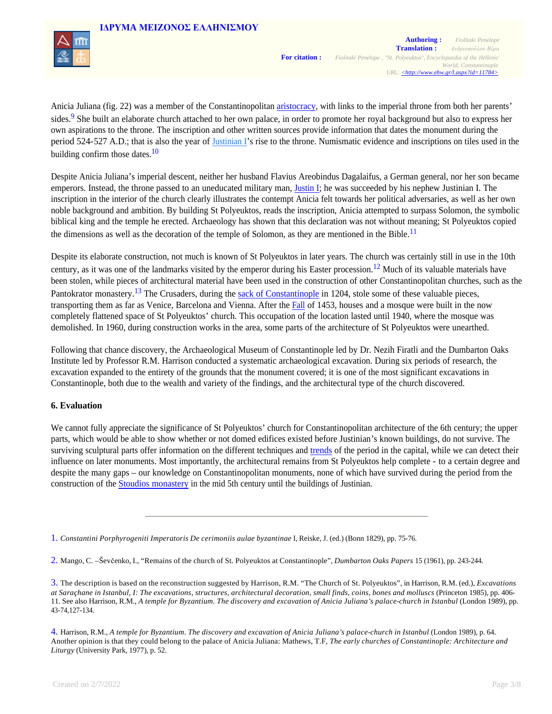



Anicia Juliana (fig. 22) was a member of the Constantinopolitan aristocracy, with links to the imperial throne from both her parents' sides.<sup>9</sup> She built an elaborate church attached to her own palace, in order to promote her royal background but also to express her own aspirations to the throne. The inscription and other written sources provide information that dates the monument during the period 524-527 A.D.; that is also the year of Justinian I's rise to the throne. Numismatic evidence and inscriptions on tiles used in the building confirm those dates. $\frac{10}{2}$ 

Despite Anicia Juliana's imperial descent, neither her husband Flavius Areobindus Dagalaifus, a German general, nor her son became emperors. Instead, the throne passed to an uneducated military man, Justin I; he was succeeded by his nephew Justinian I. The inscription in the interior of the church clearly illustrates the contempt Anicia felt towards her political adversaries, as well as her own noble background and ambition. By building St Polyeuktos, reads the inscription, Anicia attempted to surpass Solomon, the symbolic biblical king and the temple he erected. Archaeology has shown that this declaration was not without meaning; St Polyeuktos copied the dimensions as well as the decoration of the temple of Solomon, as they are mentioned in the Bible.<sup>11</sup>

Despite its elaborate construction, not much is known of St Polyeuktos in later years. The church was certainly still in use in the 10th century, as it was one of the landmarks visited by the emperor during his Easter procession.<sup>12</sup> Much of its valuable materials have been stolen, while pieces of architectural material have been used in the construction of other Constantinopolitan churches, such as the Pantokrator monastery.<sup>13</sup> The Crusaders, during the sack of Constantinople in 1204, stole some of these valuable pieces, transporting them as far as Venice, Barcelona and Vienna. After the Fall of 1453, houses and a mosque were built in the now completely flattened space of St Polyeuktos' church. This occupation of the location lasted until 1940, where the mosque was demolished. In 1960, during construction works in the area, some parts of the architecture of St Polyeuktos were unearthed.

Following that chance discovery, the Archaeological Museum of Constantinople led by Dr. Nezih Firatli and the Dumbarton Oaks Institute led by Professor R.M. Harrison conducted a systematic archaeological excavation. During six periods of research, the excavation expanded to the entirety of the grounds that the monument covered; it is one of the most significant excavations in Constantinople, both due to the wealth and variety of the findings, and the architectural type of the church discovered.

# **6. Evaluation**

We cannot fully appreciate the significance of St Polyeuktos' church for Constantinopolitan architecture of the 6th century; the upper parts, which would be able to show whether or not domed edifices existed before Justinian's known buildings, do not survive. The surviving sculptural parts offer information on the different techniques and trends of the period in the capital, while we can detect their influence on later monuments. Most importantly, the architectural remains from St Polyeuktos help complete - to a certain degree and despite the many gaps – our knowledge on Constantinopolitan monuments, none of which have survived during the period from the construction of the Stoudios monastery in the mid 5th century until the buildings of Justinian.

2. Mango, C. –Ševčenko, I., "Remains of the church of St. Polyeuktos at Constantinople", *Dumbarton Oaks Papers* 15 (1961), pp. 243-244.

<sup>1.</sup> *Constantini Porphyrogeniti Imperatoris De cerimoniis aulae byzantinae* Ι, Reiske, J. (ed.) (Bonn 1829), pp. 75-76.

<sup>3.</sup> The description is based on the reconstruction suggested by Harrison, R.M. "The Church of St. Polyeuktos", in Harrison, R.M. (ed.), *Excavations at Saraçhane in Istanbul, I: The excavations, structures, architectural decoration, small finds, coins, bones and molluscs* (Princeton 1985), pp. 406- 11. See also Harrison, R.M., *A temple for Byzantium. The discovery and excavation of Anicia Juliana's palace-church in Istanbul* (London 1989), pp. 43-74,127-134.

<sup>4.</sup> Harrison, R.M., *A temple for Byzantium. The discovery and excavation of Anicia Juliana's palace-church in Istanbul* (London 1989), p. 64. Another opinion is that they could belong to the palace of Anicia Juliana: Mathews, T.F, *The early churches of Constantinople: Architecture and Liturgy* (University Park, 1977), p. 52.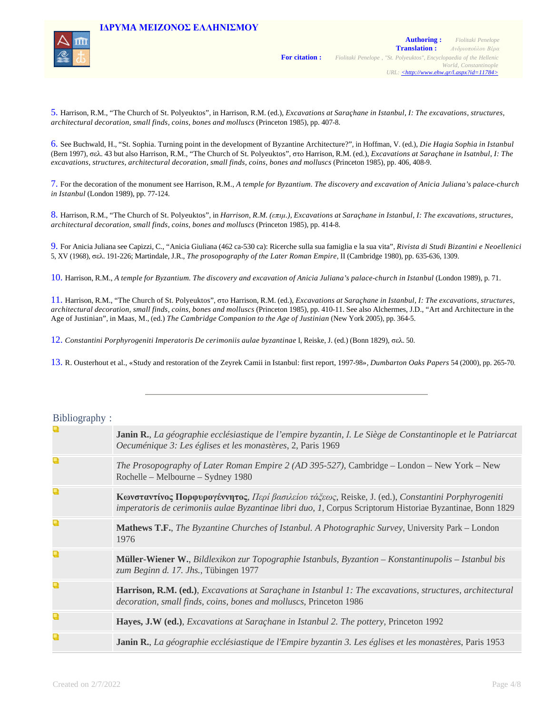



5. Harrison, R.M., "The Church of St. Polyeuktos", in Harrison, R.M. (ed.), *Excavations at Saraçhane in Istanbul, I: The excavations, structures, architectural decoration, small finds, coins, bones and molluscs* (Princeton 1985), pp. 407-8.

6. See Buchwald, Η., "St. Sophia. Turning point in the development of Byzantine Architecture?", in Hoffman, V. (ed.), *Die Hagia Sophia in Istanbul* (Bern 1997), σελ. 43 but also Harrison, R.M., "The Church of St. Polyeuktos", στο Harrison, R.M. (ed.), *Excavations at Saraçhane in Isatnbul, I: The excavations, structures, architectural decoration, small finds, coins, bones and molluscs* (Princeton 1985), pp. 406, 408-9.

7. For the decoration of the monument see Harrison, R.M., *A temple for Byzantium. The discovery and excavation of Anicia Juliana's palace-church in Istanbul* (London 1989), pp. 77-124.

8. Harrison, R.M., "The Church of St. Polyeuktos", in *Harrison, R.M. (επιμ.), Excavations at Saraçhane in Istanbul, I: The excavations, structures, architectural decoration, small finds, coins, bones and molluscs* (Princeton 1985), pp. 414-8.

9. For Anicia Juliana see Capizzi, C., "Anicia Giuliana (462 ca-530 ca): Ricerche sulla sua famiglia e la sua vita", *Rivista di Studi Bizantini e Neoellenici* 5, XV (1968), σελ. 191-226; Martindale, J.R., *The prosopography of the Later Roman Empire*, II (Cambridge 1980), pp. 635-636, 1309.

10. Harrison, R.M., *A temple for Byzantium. The discovery and excavation of Anicia Juliana's palace-church in Istanbul* (London 1989), p. 71.

11. Harrison, R.M., "The Church of St. Polyeuktos", στο Harrison, R.M. (ed.), *Excavations at Saraçhane in Istanbul, I: The excavations, structures, architectural decoration, small finds, coins, bones and molluscs* (Princeton 1985), pp. 410-11. See also Alchermes, J.D., "Art and Architecture in the Age of Justinian", in Maas, Μ., (ed.) *The Cambridge Companion to the Age of Justinian* (New York 2005), pp. 364-5.

12. *Constantini Porphyrogeniti Imperatoris De cerimoniis aulae byzantinae* Ι, Reiske, J. (ed.) (Bonn 1829), σελ. 50.

13. R. Ousterhout et al., «Study and restoration of the Zeyrek Camii in Istanbul: first report, 1997-98», *Dumbarton Oaks Papers* 54 (2000), pp. 265-70.

| $B10110$ graph $\gamma$ : |                                                                                                                                                                                                                 |
|---------------------------|-----------------------------------------------------------------------------------------------------------------------------------------------------------------------------------------------------------------|
| a                         | <b>Janin R.,</b> La géographie ecclésiastique de l'empire byzantin, I. Le Siège de Constantinople et le Patriarcat<br>Oecuménique 3: Les églises et les monastères, 2, Paris 1969                               |
| Q                         | The Prosopography of Later Roman Empire 2 (AD 395-527), Cambridge – London – New York – New<br>Rochelle – Melbourne – Sydney 1980                                                                               |
| Q                         | Κωνσταντίνος Πορφυρογέννητος, Περί βασιλείου τάξεως, Reiske, J. (ed.), Constantini Porphyrogeniti<br>imperatoris de cerimoniis aulae Byzantinae libri duo, 1, Corpus Scriptorum Historiae Byzantinae, Bonn 1829 |
| a                         | <b>Mathews T.F.</b> , The Byzantine Churches of Istanbul. A Photographic Survey, University Park – London<br>1976                                                                                               |
| Q                         | Müller-Wiener W., Bildlexikon zur Topographie Istanbuls, Byzantion - Konstantinupolis - Istanbul bis<br>zum Beginn d. 17. Jhs., Tübingen 1977                                                                   |
| Q                         | <b>Harrison, R.M. (ed.)</b> , <i>Excavations at Sarachane in Istanbul 1: The excavations, structures, architectural</i><br>decoration, small finds, coins, bones and molluscs, Princeton 1986                   |
| Q                         | Hayes, J.W (ed.), <i>Excavations at Sarachane in Istanbul 2. The pottery</i> , Princeton 1992                                                                                                                   |
| Q                         | Janin R., La géographie ecclésiastique de l'Empire byzantin 3. Les églises et les monastères, Paris 1953                                                                                                        |

 $Rihli<sub>coranh</sub>$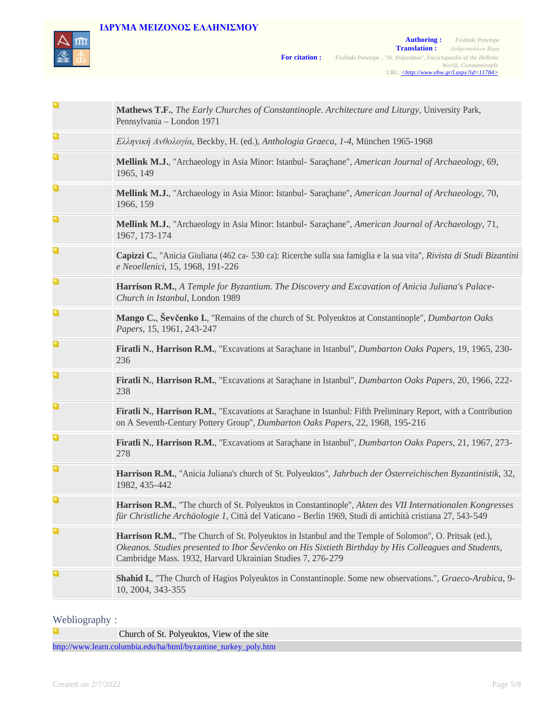# **IΔΡΥΜA ΜΕΙΖΟΝΟΣ ΕΛΛΗΝΙΣΜΟΥ**



| ч | Mathews T.F., The Early Churches of Constantinople. Architecture and Liturgy, University Park,<br>Pennsylvania - London 1971                                                                                                                                                 |
|---|------------------------------------------------------------------------------------------------------------------------------------------------------------------------------------------------------------------------------------------------------------------------------|
| Q | Ελληνική Ανθολογία, Beckby, H. (ed.), Anthologia Graeca, 1-4, München 1965-1968                                                                                                                                                                                              |
| Q | Mellink M.J., "Archaeology in Asia Minor: Istanbul- Saraçhane", American Journal of Archaeology, 69,<br>1965, 149                                                                                                                                                            |
| Q | Mellink M.J., "Archaeology in Asia Minor: Istanbul- Saraçhane", American Journal of Archaeology, 70,<br>1966, 159                                                                                                                                                            |
| Q | Mellink M.J., "Archaeology in Asia Minor: Istanbul- Saraçhane", American Journal of Archaeology, 71,<br>1967, 173-174                                                                                                                                                        |
| Q | Capizzi C., "Anicia Giuliana (462 ca- 530 ca): Ricerche sulla sua famiglia e la sua vita", Rivista di Studi Bizantini<br>e Neoellenici, 15, 1968, 191-226                                                                                                                    |
| Q | Harrison R.M., A Temple for Byzantium. The Discovery and Excavation of Anicia Juliana's Palace-<br>Church in Istanbul, London 1989                                                                                                                                           |
| Q | Mango C., Ševčenko I., "Remains of the church of St. Polyeuktos at Constantinople", Dumbarton Oaks<br>Papers, 15, 1961, 243-247                                                                                                                                              |
| Q | Firatli N., Harrison R.M., "Excavations at Saraçhane in Istanbul", <i>Dumbarton Oaks Papers</i> , 19, 1965, 230-<br>236                                                                                                                                                      |
| Q | Firatli N., Harrison R.M., "Excavations at Saraçhane in Istanbul", <i>Dumbarton Oaks Papers</i> , 20, 1966, 222-<br>238                                                                                                                                                      |
| Q | Firatli N., Harrison R.M., "Excavations at Saraçhane in Istanbul: Fifth Preliminary Report, with a Contribution<br>on A Seventh-Century Pottery Group", Dumbarton Oaks Papers, 22, 1968, 195-216                                                                             |
| Q | Firatli N., Harrison R.M., "Excavations at Saraçhane in Istanbul", <i>Dumbarton Oaks Papers</i> , 21, 1967, 273-<br>278                                                                                                                                                      |
| Q | Harrison R.M., "Anicia Juliana's church of St. Polyeuktos", Jahrbuch der Österreichischen Byzantinistik, 32,<br>1982, 435-442                                                                                                                                                |
| Q | Harrison R.M., "The church of St. Polyeuktos in Constantinople", Akten des VII Internationalen Kongresses<br>für Christliche Archäologie 1, Città del Vaticano - Berlin 1969, Studi di antichità cristiana 27, 543-549                                                       |
| Q | Harrison R.M., "The Church of St. Polyeuktos in Istanbul and the Temple of Solomon", O. Pritsak (ed.),<br>Okeanos. Studies presented to Ihor Ševčenko on His Sixtieth Birthday by His Colleagues and Students,<br>Cambridge Mass. 1932, Harvard Ukrainian Studies 7, 276-279 |
| Q | Shahid I., "The Church of Hagios Polyeuktos in Constantinople. Some new observations.", Graeco-Arabica, 9-<br>10, 2004, 343-355                                                                                                                                              |

# Webliography :

Q Church of St. Polyeuktos, View of the site http://www.learn.columbia.edu/ha/html/byzantine\_turkey\_poly.htm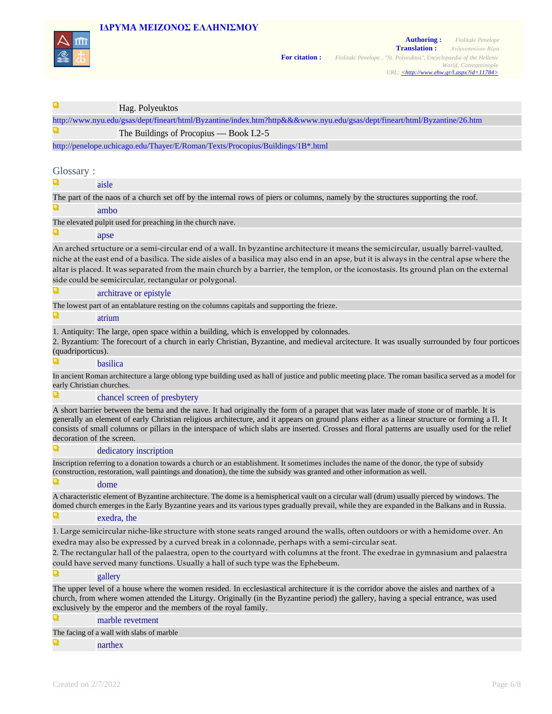# **IΔΡΥΜA ΜΕΙΖΟΝΟΣ ΕΛΛΗΝΙΣΜΟΥ**

Hag. Polyeuktos



| http://www.nyu.edu/gsas/dept/fineart/html/Byzantine/index.htm?http&&&www.nyu.edu/gsas/dept/fineart/html/Byzantine/26.htm                   |  |  |
|--------------------------------------------------------------------------------------------------------------------------------------------|--|--|
| The Buildings of Procopius — Book I.2-5                                                                                                    |  |  |
| http://penelope.uchicago.edu/Thayer/E/Roman/Texts/Procopius/Buildings/1B*.html                                                             |  |  |
|                                                                                                                                            |  |  |
| Glossary:                                                                                                                                  |  |  |
| aisle                                                                                                                                      |  |  |
| The part of the naos of a church set off by the internal rows of piers or columns, namely by the structures supporting the roof.           |  |  |
| ambo                                                                                                                                       |  |  |
| The elevated pulpit used for preaching in the church nave.                                                                                 |  |  |
| apse                                                                                                                                       |  |  |
| An arched srtucture or a semi-circular end of a wall. In byzantine architecture it means the semicircular, usually barrel-vaulted,         |  |  |
| niche at the east end of a basilica. The side aisles of a basilica may also end in an apse, but it is always in the central apse where the |  |  |
| altar is placed. It was separated from the main church by a barrier, the templon, or the iconostasis. Its ground plan on the external      |  |  |

side could be semicircular, rectangular or polygonal.

#### a architrave or epistyle

The lowest part of an entablature resting on the columns capitals and supporting the frieze.

Q atrium

1. Antiquity: The large, open space within a building, which is envelopped by colonnades.

2. Βyzantium: The forecourt of a church in early Christian, Byzantine, and medieval arcitecture. It was usually surrounded by four porticoes (quadriporticus).

#### basilica

In ancient Roman architecture a large oblong type building used as hall of justice and public meeting place. The roman basilica served as a model for early Christian churches.

#### chancel screen of presbytery

A short barrier between the bema and the nave. It had originally the form of a parapet that was later made of stone or of marble. It is generally an element of early Christian religious architecture, and it appears on ground plans either as a linear structure or forming a Π. It consists of small columns or pillars in the interspace of which slabs are inserted. Crosses and floral patterns are usually used for the relief decoration of the screen.

#### u dedicatory inscription

Inscription referring to a donation towards a church or an establishment. It sometimes includes the name of the donor, the type of subsidy (construction, restoration, wall paintings and donation), the time the subsidy was granted and other information as well.

Q dome

A characteristic element of Byzantine architecture. The dome is a hemispherical vault on a circular wall (drum) usually pierced by windows. The domed church emerges in the Early Byzantine years and its various types gradually prevail, while they are expanded in the Balkans and in Russia.

#### Q exedra, the

1. Large semicircular niche-like structure with stone seats ranged around the walls, often outdoors or with a hemidome over. An exedra may also be expressed by a curved break in a colonnade, perhaps with a semi‑circular seat.

2. The rectangular hall of the palaestra, open to the courtyard with columns at the front. The exedrae in gymnasium and palaestra could have served many functions. Usually a hall of such type was the Ephebeum.

#### Q gallery

The upper level of a house where the women resided. In ecclesiastical architecture it is the corridor above the aisles and narthex of a church, from where women attended the Liturgy. Originally (in the Byzantine period) the gallery, having a special entrance, was used exclusively by the emperor and the members of the royal family.

marble revetment

### Τhe facing of a wall with slabs of marble

### narthex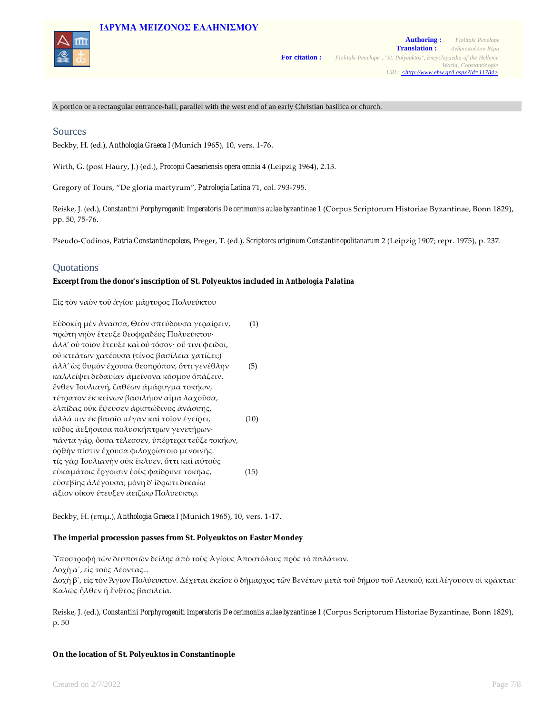# **IΔΡΥΜA ΜΕΙΖΟΝΟΣ ΕΛΛΗΝΙΣΜΟΥ**



A portico or a rectangular entrance-hall, parallel with the west end of an early Christian basilica or church.

# Sources

Beckby, H. (ed.), *Anthologia Graeca* Ι (Munich 1965), 10, vers. 1‑76.

Wirth, G. (post Haury, J.) (ed.), *Procopii Caesariensis opera omnia* 4 (Leipzig 1964), 2.13.

Gregory of Tours, "De gloria martyrum", *Patrologia Latina* 71, col. 793‑795.

Reiske, J. (ed.), *Constantini Porphyrogeniti Imperatoris De cerimoniis aulae byzantinae* 1 (Corpus Scriptorum Historiae Byzantinae, Bonn 1829), pp. 50, 75‑76.

Pseudo‑Codinos, *Patria Constantinopoleos*, Preger, T. (ed.), *Scriptores originum Constantinopolitanarum* 2 (Leipzig 1907; repr. 1975), p. 237.

# Quotations

**Excerpt from the donor's inscription of St. Polyeuktos included in** *Anthologia Palatina*

Εἰς τὸν ναὸν τοῦ ἁγίου μάρτυρος Πολυεύκτου

Εὐδοκίη μὲν ἄνασσα, Θεὸν σπεύδουσα γεραίρειν,.......... (1) πρώτη νηὸν ἔτευξε θεοφραδέος Πολυεύκτου∙ ἀλλ' οὐ τοῖον ἔτευξε καὶ οὐ τόσον∙ οὔ τινι φειδοῖ, οὐ κτεάτων χατέουσα (τίνος βασίλεια χατίζει;) ἀλλ' ὡς θυμὸν ἔχουσα θεοπρόπον, ὅττι γενέθλην.......... (5) καλλείψει δεδαυῖαν ἀμείνονα κόσμον ὀπάζειν. ἔνθεν Ἰουλιανή, ζαθέων ἀμάρυγμα τοκήων, τέτρατον ἐκ κείνων βασιλήιον αἷμα λαχοῦσα, ἐλπίδας οὐκ ἔψευσεν ἀριστώδινος ἀνάσσης, ἀλλά μιν ἐκ βαιοῖο μέγαν καὶ τοῖον ἐγείρει, ...................(10) κῦδος ἀεξήσασα πολυσκήπτρων γενετήρων∙ πάντα γάρ, ὅσσα τέλεσσεν, ὑπέρτερα τεῦξε τοκήων, ὀρθὴν πίστιν ἔχουσα φιλοχρίστοιο μενοινῆς. τίς γὰρ Ἰουλιανὴν οὐκ ἔκλυεν, ὅττι καὶ αὐτοὺς εὐκαμάτοις ἔργοισιν ἑοὺς φαίδρυνε τοκῆας,...................(15) εὐσεβίης ἀλέγουσα; μόνη δ' ἱδρῶτι δικαίῳ ἄξιον οἶκον ἔτευξεν ἀειζώῳ Πολυεύκτῳ.

Beckby, H. (επιμ.), *Anthologia Graeca* Ι (Munich 1965), 10, vers. 1‑17.

#### **The imperial procession passes from St. Polyeuktos on Easter Mondey**

Ὑποστροφὴ τῶν δεσποτῶν δείλης ἀπὸ τοὺς Ἁγίους Ἀποστόλους πρὸς τὸ παλάτιον.

Δοχὴ α΄, εἰς τοὺς Λέοντας...

Δοχὴ β΄, εἰς τὸν Ἅγιον Πολύευκτον. Δέχεται ἐκεῖσε ὁ δήμαρχος τῶν Βενέτων μετὰ τοῦ δήμου τοῦ Λευκοῦ, καὶ λέγουσιν οἱ κράκται· Καλῶς ἦλθεν ἡ ἔνθεος βασιλεία.

Reiske, J. (ed.), *Constantini Porphyrogeniti Imperatoris De cerimoniis aulae byzantinae* 1 (Corpus Scriptorum Historiae Byzantinae, Bonn 1829), p. 50

### **On the location of St. Polyeuktos in Constantinople**